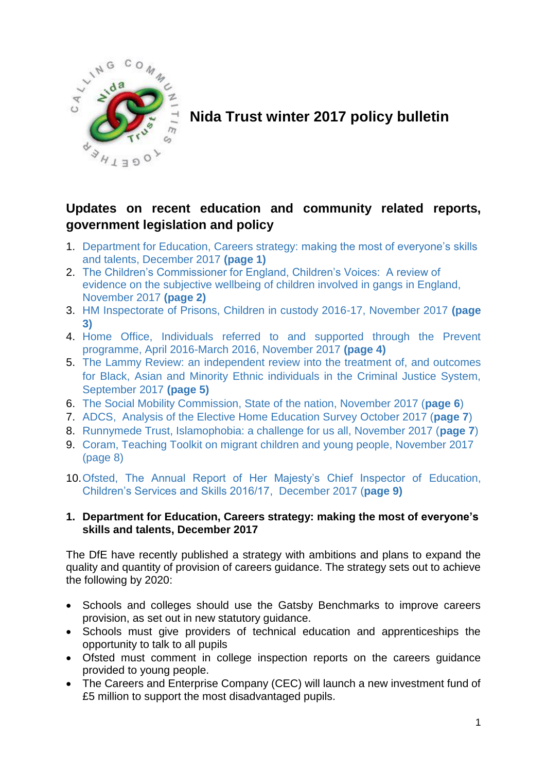

**Nida Trust winter 2017 policy bulletin**

# **Updates on recent education and community related reports, government legislation and policy**

- 1. Department for Education, Careers strategy: making the most of everyone's skills and talents, December 2017 **(page 1)**
- 2. The Children's Commissioner for England, Children's Voices: A review of evidence on the subjective wellbeing of children involved in gangs in England, November 2017 **(page 2)**
- 3. HM Inspectorate of Prisons, Children in custody 2016-17, November 2017 **(page 3)**
- 4. Home Office, Individuals referred to and supported through the Prevent programme, April 2016-March 2016, November 2017 **(page 4)**
- 5. The Lammy Review: an independent review into the treatment of, and outcomes for Black, Asian and Minority Ethnic individuals in the Criminal Justice System, September 2017 **(page 5)**
- 6. The Social Mobility Commission, State of the nation, November 2017 (**page 6**)
- 7. ADCS, Analysis of the Elective Home Education Survey October 2017 (**page 7**)
- 8. Runnymede Trust, Islamophobia: a challenge for us all, November 2017 (**page 7**)
- 9. Coram, Teaching Toolkit on migrant children and young people, November 2017 (page 8)
- 10.Ofsted, The Annual Report of Her Majesty's Chief Inspector of Education, Children's Services and Skills 2016/17, December 2017 (**page 9)**

### **1. Department for Education, Careers strategy: making the most of everyone's skills and talents, December 2017**

The DfE have recently published a strategy with ambitions and plans to expand the quality and quantity of provision of careers guidance. The strategy sets out to achieve the following by 2020:

- Schools and colleges should use the Gatsby Benchmarks to improve careers provision, as set out in new statutory guidance.
- Schools must give providers of technical education and apprenticeships the opportunity to talk to all pupils
- Ofsted must comment in college inspection reports on the careers guidance provided to young people.
- The Careers and Enterprise Company (CEC) will launch a new investment fund of £5 million to support the most disadvantaged pupils.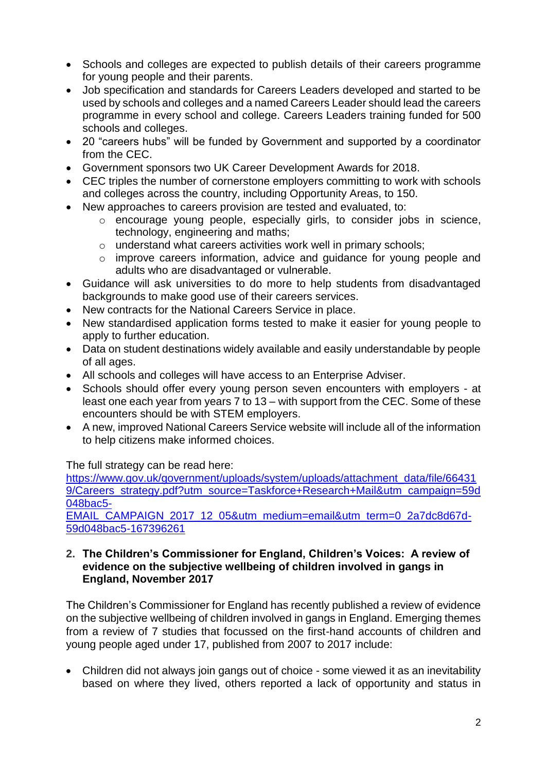- Schools and colleges are expected to publish details of their careers programme for young people and their parents.
- Job specification and standards for Careers Leaders developed and started to be used by schools and colleges and a named Careers Leader should lead the careers programme in every school and college. Careers Leaders training funded for 500 schools and colleges.
- 20 "careers hubs" will be funded by Government and supported by a coordinator from the CEC.
- Government sponsors two UK Career Development Awards for 2018.
- CEC triples the number of cornerstone employers committing to work with schools and colleges across the country, including Opportunity Areas, to 150.
- New approaches to careers provision are tested and evaluated, to:
	- o encourage young people, especially girls, to consider jobs in science, technology, engineering and maths;
	- o understand what careers activities work well in primary schools;
	- o improve careers information, advice and guidance for young people and adults who are disadvantaged or vulnerable.
- Guidance will ask universities to do more to help students from disadvantaged backgrounds to make good use of their careers services.
- New contracts for the National Careers Service in place.
- New standardised application forms tested to make it easier for young people to apply to further education.
- Data on student destinations widely available and easily understandable by people of all ages.
- All schools and colleges will have access to an Enterprise Adviser.
- Schools should offer every young person seven encounters with employers at least one each year from years 7 to 13 – with support from the CEC. Some of these encounters should be with STEM employers.
- A new, improved National Careers Service website will include all of the information to help citizens make informed choices.

The full strategy can be read here:

[https://www.gov.uk/government/uploads/system/uploads/attachment\\_data/file/66431](https://www.gov.uk/government/uploads/system/uploads/attachment_data/file/664319/Careers_strategy.pdf?utm_source=Taskforce+Research+Mail&utm_campaign=59d048bac5-EMAIL_CAMPAIGN_2017_12_05&utm_medium=email&utm_term=0_2a7dc8d67d-59d048bac5-167396261) [9/Careers\\_strategy.pdf?utm\\_source=Taskforce+Research+Mail&utm\\_campaign=59d](https://www.gov.uk/government/uploads/system/uploads/attachment_data/file/664319/Careers_strategy.pdf?utm_source=Taskforce+Research+Mail&utm_campaign=59d048bac5-EMAIL_CAMPAIGN_2017_12_05&utm_medium=email&utm_term=0_2a7dc8d67d-59d048bac5-167396261) [048bac5-](https://www.gov.uk/government/uploads/system/uploads/attachment_data/file/664319/Careers_strategy.pdf?utm_source=Taskforce+Research+Mail&utm_campaign=59d048bac5-EMAIL_CAMPAIGN_2017_12_05&utm_medium=email&utm_term=0_2a7dc8d67d-59d048bac5-167396261)

[EMAIL\\_CAMPAIGN\\_2017\\_12\\_05&utm\\_medium=email&utm\\_term=0\\_2a7dc8d67d-](https://www.gov.uk/government/uploads/system/uploads/attachment_data/file/664319/Careers_strategy.pdf?utm_source=Taskforce+Research+Mail&utm_campaign=59d048bac5-EMAIL_CAMPAIGN_2017_12_05&utm_medium=email&utm_term=0_2a7dc8d67d-59d048bac5-167396261)[59d048bac5-167396261](https://www.gov.uk/government/uploads/system/uploads/attachment_data/file/664319/Careers_strategy.pdf?utm_source=Taskforce+Research+Mail&utm_campaign=59d048bac5-EMAIL_CAMPAIGN_2017_12_05&utm_medium=email&utm_term=0_2a7dc8d67d-59d048bac5-167396261)

### **2. The Children's Commissioner for England, Children's Voices: A review of evidence on the subjective wellbeing of children involved in gangs in England, November 2017**

The Children's Commissioner for England has recently published a review of evidence on the subjective wellbeing of children involved in gangs in England. Emerging themes from a review of 7 studies that focussed on the first-hand accounts of children and young people aged under 17, published from 2007 to 2017 include:

 Children did not always join gangs out of choice - some viewed it as an inevitability based on where they lived, others reported a lack of opportunity and status in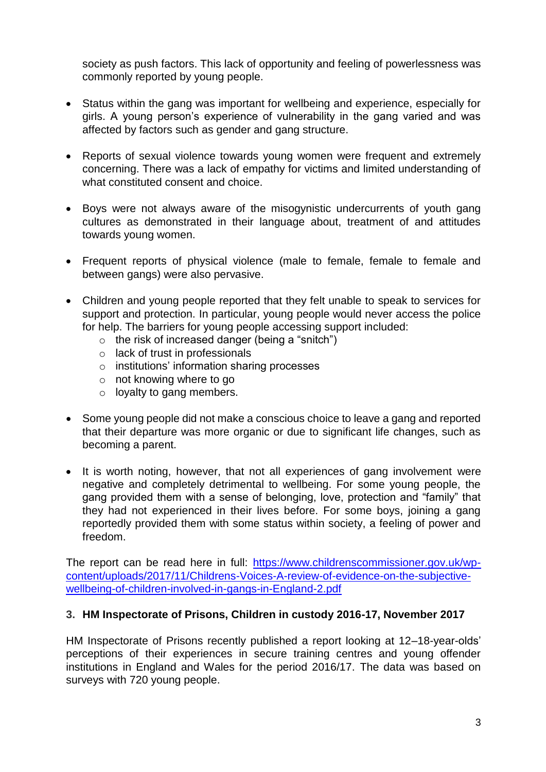society as push factors. This lack of opportunity and feeling of powerlessness was commonly reported by young people.

- Status within the gang was important for wellbeing and experience, especially for girls. A young person's experience of vulnerability in the gang varied and was affected by factors such as gender and gang structure.
- Reports of sexual violence towards young women were frequent and extremely concerning. There was a lack of empathy for victims and limited understanding of what constituted consent and choice.
- Boys were not always aware of the misogynistic undercurrents of youth gang cultures as demonstrated in their language about, treatment of and attitudes towards young women.
- Frequent reports of physical violence (male to female, female to female and between gangs) were also pervasive.
- Children and young people reported that they felt unable to speak to services for support and protection. In particular, young people would never access the police for help. The barriers for young people accessing support included:
	- $\circ$  the risk of increased danger (being a "snitch")
	- o lack of trust in professionals
	- o institutions' information sharing processes
	- o not knowing where to go
	- o loyalty to gang members.
- Some young people did not make a conscious choice to leave a gang and reported that their departure was more organic or due to significant life changes, such as becoming a parent.
- It is worth noting, however, that not all experiences of gang involvement were negative and completely detrimental to wellbeing. For some young people, the gang provided them with a sense of belonging, love, protection and "family" that they had not experienced in their lives before. For some boys, joining a gang reportedly provided them with some status within society, a feeling of power and freedom.

The report can be read here in full: [https://www.childrenscommissioner.gov.uk/wp](https://www.childrenscommissioner.gov.uk/wp-content/uploads/2017/11/Childrens-Voices-A-review-of-evidence-on-the-subjective-wellbeing-of-children-involved-in-gangs-in-England-2.pdf)[content/uploads/2017/11/Childrens-Voices-A-review-of-evidence-on-the-subjective](https://www.childrenscommissioner.gov.uk/wp-content/uploads/2017/11/Childrens-Voices-A-review-of-evidence-on-the-subjective-wellbeing-of-children-involved-in-gangs-in-England-2.pdf)[wellbeing-of-children-involved-in-gangs-in-England-2.pdf](https://www.childrenscommissioner.gov.uk/wp-content/uploads/2017/11/Childrens-Voices-A-review-of-evidence-on-the-subjective-wellbeing-of-children-involved-in-gangs-in-England-2.pdf)

### **3. HM Inspectorate of Prisons, Children in custody 2016-17, November 2017**

HM Inspectorate of Prisons recently published a report looking at 12–18-year-olds' perceptions of their experiences in secure training centres and young offender institutions in England and Wales for the period 2016/17. The data was based on surveys with 720 young people.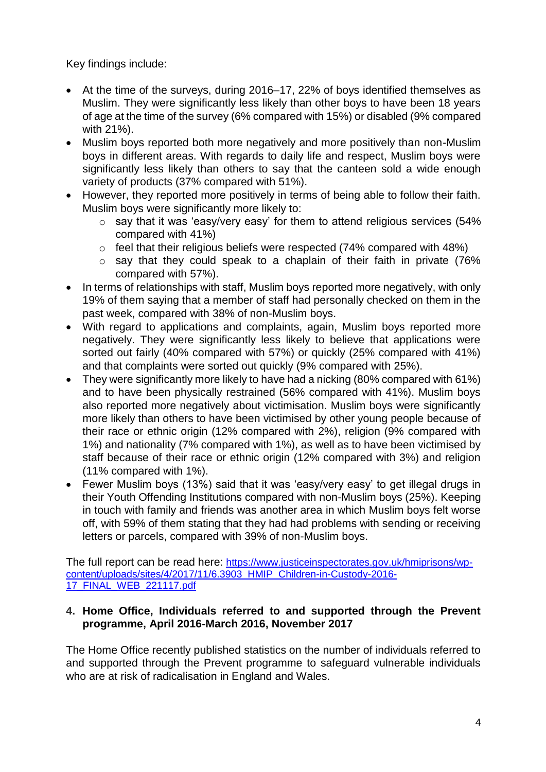Key findings include:

- At the time of the surveys, during 2016–17, 22% of boys identified themselves as Muslim. They were significantly less likely than other boys to have been 18 years of age at the time of the survey (6% compared with 15%) or disabled (9% compared with 21%).
- Muslim boys reported both more negatively and more positively than non-Muslim boys in different areas. With regards to daily life and respect, Muslim boys were significantly less likely than others to say that the canteen sold a wide enough variety of products (37% compared with 51%).
- However, they reported more positively in terms of being able to follow their faith. Muslim boys were significantly more likely to:
	- o say that it was 'easy/very easy' for them to attend religious services (54% compared with 41%)
	- $\circ$  feel that their religious beliefs were respected (74% compared with 48%)
	- o say that they could speak to a chaplain of their faith in private (76% compared with 57%).
- In terms of relationships with staff, Muslim boys reported more negatively, with only 19% of them saying that a member of staff had personally checked on them in the past week, compared with 38% of non-Muslim boys.
- With regard to applications and complaints, again, Muslim boys reported more negatively. They were significantly less likely to believe that applications were sorted out fairly (40% compared with 57%) or quickly (25% compared with 41%) and that complaints were sorted out quickly (9% compared with 25%).
- They were significantly more likely to have had a nicking (80% compared with 61%) and to have been physically restrained (56% compared with 41%). Muslim boys also reported more negatively about victimisation. Muslim boys were significantly more likely than others to have been victimised by other young people because of their race or ethnic origin (12% compared with 2%), religion (9% compared with 1%) and nationality (7% compared with 1%), as well as to have been victimised by staff because of their race or ethnic origin (12% compared with 3%) and religion (11% compared with 1%).
- Fewer Muslim boys (13%) said that it was 'easy/very easy' to get illegal drugs in their Youth Offending Institutions compared with non-Muslim boys (25%). Keeping in touch with family and friends was another area in which Muslim boys felt worse off, with 59% of them stating that they had had problems with sending or receiving letters or parcels, compared with 39% of non-Muslim boys.

The full report can be read here: [https://www.justiceinspectorates.gov.uk/hmiprisons/wp](https://www.justiceinspectorates.gov.uk/hmiprisons/wp-content/uploads/sites/4/2017/11/6.3903_HMIP_Children-in-Custody-2016-17_FINAL_WEB_221117.pdf)[content/uploads/sites/4/2017/11/6.3903\\_HMIP\\_Children-in-Custody-2016-](https://www.justiceinspectorates.gov.uk/hmiprisons/wp-content/uploads/sites/4/2017/11/6.3903_HMIP_Children-in-Custody-2016-17_FINAL_WEB_221117.pdf) [17\\_FINAL\\_WEB\\_221117.pdf](https://www.justiceinspectorates.gov.uk/hmiprisons/wp-content/uploads/sites/4/2017/11/6.3903_HMIP_Children-in-Custody-2016-17_FINAL_WEB_221117.pdf)

### **4. Home Office, Individuals referred to and supported through the Prevent programme, April 2016-March 2016, November 2017**

The Home Office recently published statistics on the number of individuals referred to and supported through the Prevent programme to safeguard vulnerable individuals who are at risk of radicalisation in England and Wales.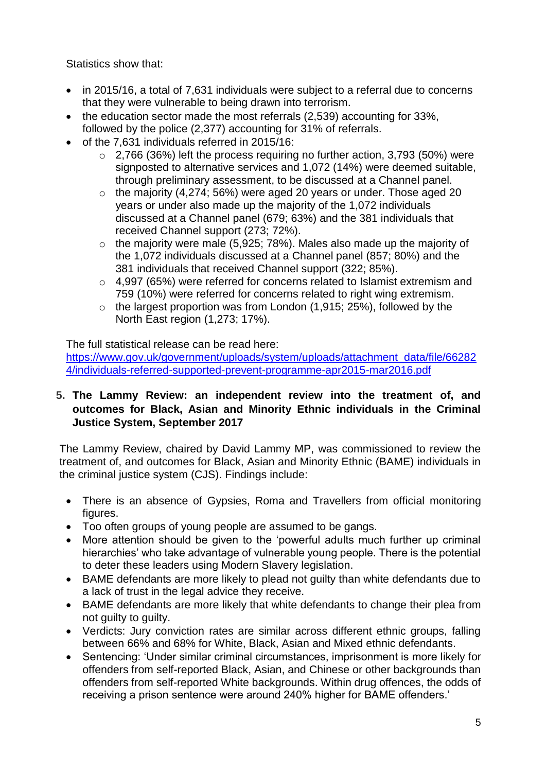Statistics show that:

- in 2015/16, a total of 7,631 individuals were subject to a referral due to concerns that they were vulnerable to being drawn into terrorism.
- the education sector made the most referrals (2.539) accounting for 33%. followed by the police (2,377) accounting for 31% of referrals.
- of the 7,631 individuals referred in 2015/16:
	- $\circ$  2,766 (36%) left the process requiring no further action, 3,793 (50%) were signposted to alternative services and 1,072 (14%) were deemed suitable, through preliminary assessment, to be discussed at a Channel panel.
	- $\circ$  the majority (4,274; 56%) were aged 20 years or under. Those aged 20 years or under also made up the majority of the 1,072 individuals discussed at a Channel panel (679; 63%) and the 381 individuals that received Channel support (273; 72%).
	- $\circ$  the majority were male (5,925; 78%). Males also made up the majority of the 1,072 individuals discussed at a Channel panel (857; 80%) and the 381 individuals that received Channel support (322; 85%).
	- o 4,997 (65%) were referred for concerns related to Islamist extremism and 759 (10%) were referred for concerns related to right wing extremism.
	- $\circ$  the largest proportion was from London (1,915; 25%), followed by the North East region (1,273; 17%).

The full statistical release can be read here:

[https://www.gov.uk/government/uploads/system/uploads/attachment\\_data/file/66282](https://www.gov.uk/government/uploads/system/uploads/attachment_data/file/662824/individuals-referred-supported-prevent-programme-apr2015-mar2016.pdf) [4/individuals-referred-supported-prevent-programme-apr2015-mar2016.pdf](https://www.gov.uk/government/uploads/system/uploads/attachment_data/file/662824/individuals-referred-supported-prevent-programme-apr2015-mar2016.pdf)

# **5. The Lammy Review: an independent review into the treatment of, and outcomes for Black, Asian and Minority Ethnic individuals in the Criminal Justice System, September 2017**

The Lammy Review, chaired by David Lammy MP, was commissioned to review the treatment of, and outcomes for Black, Asian and Minority Ethnic (BAME) individuals in the criminal justice system (CJS). Findings include:

- There is an absence of Gypsies, Roma and Travellers from official monitoring figures.
- Too often groups of young people are assumed to be gangs.
- More attention should be given to the 'powerful adults much further up criminal hierarchies' who take advantage of vulnerable young people. There is the potential to deter these leaders using Modern Slavery legislation.
- BAME defendants are more likely to plead not guilty than white defendants due to a lack of trust in the legal advice they receive.
- BAME defendants are more likely that white defendants to change their plea from not guilty to guilty.
- Verdicts: Jury conviction rates are similar across different ethnic groups, falling between 66% and 68% for White, Black, Asian and Mixed ethnic defendants.
- Sentencing: 'Under similar criminal circumstances, imprisonment is more likely for offenders from self-reported Black, Asian, and Chinese or other backgrounds than offenders from self-reported White backgrounds. Within drug offences, the odds of receiving a prison sentence were around 240% higher for BAME offenders.'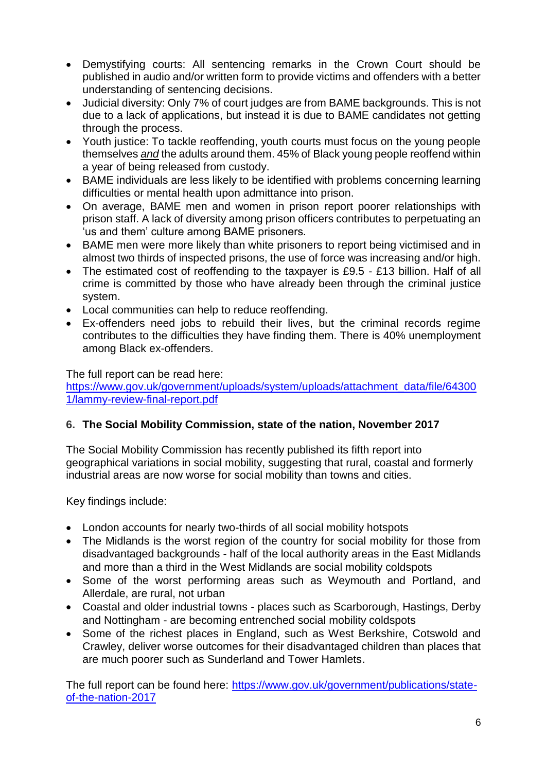- Demystifying courts: All sentencing remarks in the Crown Court should be published in audio and/or written form to provide victims and offenders with a better understanding of sentencing decisions.
- Judicial diversity: Only 7% of court judges are from BAME backgrounds. This is not due to a lack of applications, but instead it is due to BAME candidates not getting through the process.
- Youth justice: To tackle reoffending, youth courts must focus on the young people themselves *and* the adults around them. 45% of Black young people reoffend within a year of being released from custody.
- BAME individuals are less likely to be identified with problems concerning learning difficulties or mental health upon admittance into prison.
- On average, BAME men and women in prison report poorer relationships with prison staff. A lack of diversity among prison officers contributes to perpetuating an 'us and them' culture among BAME prisoners.
- BAME men were more likely than white prisoners to report being victimised and in almost two thirds of inspected prisons, the use of force was increasing and/or high.
- The estimated cost of reoffending to the taxpayer is £9.5 £13 billion. Half of all crime is committed by those who have already been through the criminal justice system.
- Local communities can help to reduce reoffending.
- Ex-offenders need jobs to rebuild their lives, but the criminal records regime contributes to the difficulties they have finding them. There is 40% unemployment among Black ex-offenders.

The full report can be read here: [https://www.gov.uk/government/uploads/system/uploads/attachment\\_data/file/64300](https://www.gov.uk/government/uploads/system/uploads/attachment_data/file/643001/lammy-review-final-report.pdf) [1/lammy-review-final-report.pdf](https://www.gov.uk/government/uploads/system/uploads/attachment_data/file/643001/lammy-review-final-report.pdf)

# **6. The Social Mobility Commission, state of the nation, November 2017**

The Social Mobility Commission has recently published its fifth report into geographical variations in social mobility, suggesting that rural, coastal and formerly industrial areas are now worse for social mobility than towns and cities.

Key findings include:

- London accounts for nearly two-thirds of all social mobility hotspots
- The Midlands is the worst region of the country for social mobility for those from disadvantaged backgrounds - half of the local authority areas in the East Midlands and more than a third in the West Midlands are social mobility coldspots
- Some of the worst performing areas such as Weymouth and Portland, and Allerdale, are rural, not urban
- Coastal and older industrial towns places such as Scarborough, Hastings, Derby and Nottingham - are becoming entrenched social mobility coldspots
- Some of the richest places in England, such as West Berkshire, Cotswold and Crawley, deliver worse outcomes for their disadvantaged children than places that are much poorer such as Sunderland and Tower Hamlets.

The full report can be found here: [https://www.gov.uk/government/publications/state](https://www.gov.uk/government/publications/state-of-the-nation-2017)[of-the-nation-2017](https://www.gov.uk/government/publications/state-of-the-nation-2017)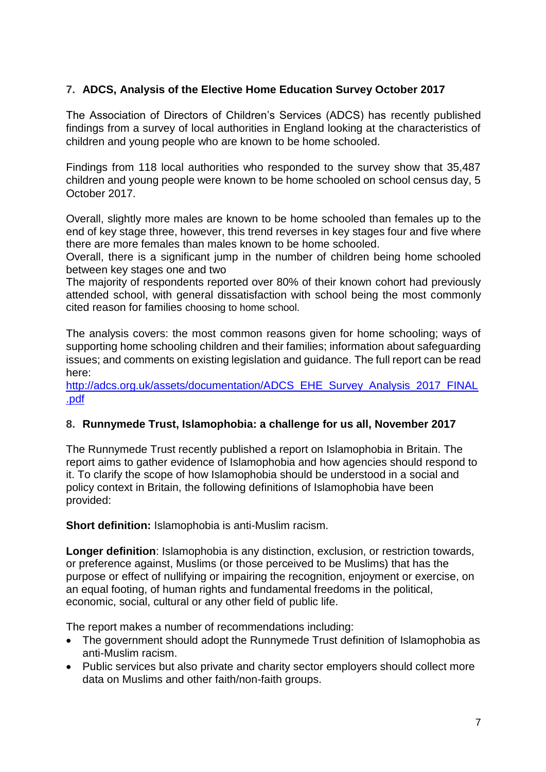# **7. ADCS, Analysis of the Elective Home Education Survey October 2017**

The Association of Directors of Children's Services (ADCS) has recently published findings from a survey of local authorities in England looking at the characteristics of children and young people who are known to be home schooled.

Findings from 118 local authorities who responded to the survey show that 35,487 children and young people were known to be home schooled on school census day, 5 October 2017.

Overall, slightly more males are known to be home schooled than females up to the end of key stage three, however, this trend reverses in key stages four and five where there are more females than males known to be home schooled.

Overall, there is a significant jump in the number of children being home schooled between key stages one and two

The majority of respondents reported over 80% of their known cohort had previously attended school, with general dissatisfaction with school being the most commonly cited reason for families choosing to home school.

The analysis covers: the most common reasons given for home schooling; ways of supporting home schooling children and their families; information about safeguarding issues; and comments on existing legislation and guidance. The full report can be read here:

[http://adcs.org.uk/assets/documentation/ADCS\\_EHE\\_Survey\\_Analysis\\_2017\\_FINAL](http://adcs.org.uk/assets/documentation/ADCS_EHE_Survey_Analysis_2017_FINAL.pdf) [.pdf](http://adcs.org.uk/assets/documentation/ADCS_EHE_Survey_Analysis_2017_FINAL.pdf)

### **8. Runnymede Trust, Islamophobia: a challenge for us all, November 2017**

The Runnymede Trust recently published a report on Islamophobia in Britain. The report aims to gather evidence of Islamophobia and how agencies should respond to it. To clarify the scope of how Islamophobia should be understood in a social and policy context in Britain, the following definitions of Islamophobia have been provided:

**Short definition:** Islamophobia is anti-Muslim racism.

**Longer definition**: Islamophobia is any distinction, exclusion, or restriction towards, or preference against, Muslims (or those perceived to be Muslims) that has the purpose or effect of nullifying or impairing the recognition, enjoyment or exercise, on an equal footing, of human rights and fundamental freedoms in the political, economic, social, cultural or any other field of public life.

The report makes a number of recommendations including:

- The government should adopt the Runnymede Trust definition of Islamophobia as anti-Muslim racism.
- Public services but also private and charity sector employers should collect more data on Muslims and other faith/non-faith groups.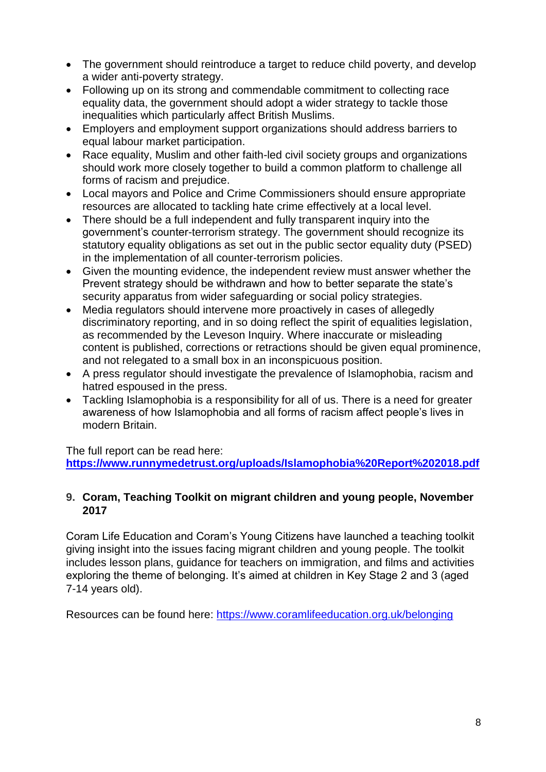- The government should reintroduce a target to reduce child poverty, and develop a wider anti-poverty strategy.
- Following up on its strong and commendable commitment to collecting race equality data, the government should adopt a wider strategy to tackle those inequalities which particularly affect British Muslims.
- Employers and employment support organizations should address barriers to equal labour market participation.
- Race equality, Muslim and other faith-led civil society groups and organizations should work more closely together to build a common platform to challenge all forms of racism and prejudice.
- Local mayors and Police and Crime Commissioners should ensure appropriate resources are allocated to tackling hate crime effectively at a local level.
- There should be a full independent and fully transparent inquiry into the government's counter-terrorism strategy. The government should recognize its statutory equality obligations as set out in the public sector equality duty (PSED) in the implementation of all counter-terrorism policies.
- Given the mounting evidence, the independent review must answer whether the Prevent strategy should be withdrawn and how to better separate the state's security apparatus from wider safeguarding or social policy strategies.
- Media regulators should intervene more proactively in cases of allegedly discriminatory reporting, and in so doing reflect the spirit of equalities legislation, as recommended by the Leveson Inquiry. Where inaccurate or misleading content is published, corrections or retractions should be given equal prominence, and not relegated to a small box in an inconspicuous position.
- A press regulator should investigate the prevalence of Islamophobia, racism and hatred espoused in the press.
- Tackling Islamophobia is a responsibility for all of us. There is a need for greater awareness of how Islamophobia and all forms of racism affect people's lives in modern Britain.

The full report can be read here:

**<https://www.runnymedetrust.org/uploads/Islamophobia%20Report%202018.pdf>**

# **9. Coram, Teaching Toolkit on migrant children and young people, November 2017**

Coram Life Education and Coram's Young Citizens have launched a teaching toolkit giving insight into the issues facing migrant children and young people. The toolkit includes lesson plans, guidance for teachers on immigration, and films and activities exploring the theme of belonging. It's aimed at children in Key Stage 2 and 3 (aged 7-14 years old).

Resources can be found here:<https://www.coramlifeeducation.org.uk/belonging>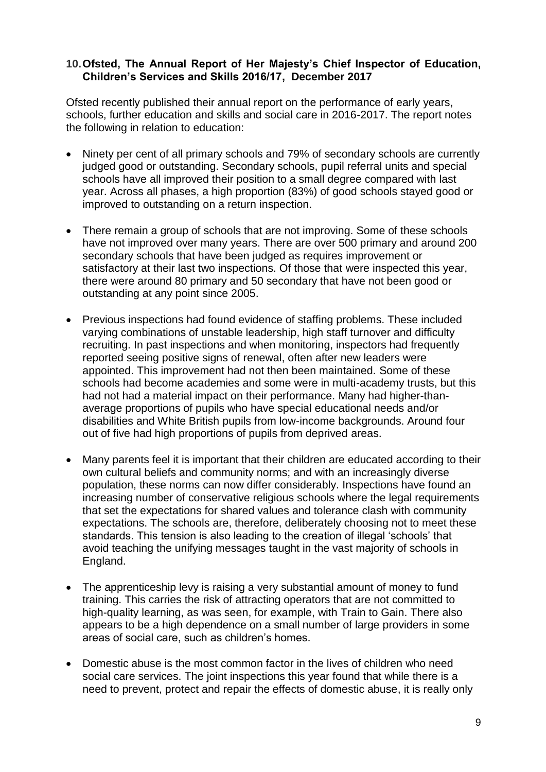### **10.Ofsted, The Annual Report of Her Majesty's Chief Inspector of Education, Children's Services and Skills 2016/17, December 2017**

Ofsted recently published their annual report on the performance of early years, schools, further education and skills and social care in 2016-2017. The report notes the following in relation to education:

- Ninety per cent of all primary schools and 79% of secondary schools are currently judged good or outstanding. Secondary schools, pupil referral units and special schools have all improved their position to a small degree compared with last year. Across all phases, a high proportion (83%) of good schools stayed good or improved to outstanding on a return inspection.
- There remain a group of schools that are not improving. Some of these schools have not improved over many years. There are over 500 primary and around 200 secondary schools that have been judged as requires improvement or satisfactory at their last two inspections. Of those that were inspected this year, there were around 80 primary and 50 secondary that have not been good or outstanding at any point since 2005.
- Previous inspections had found evidence of staffing problems. These included varying combinations of unstable leadership, high staff turnover and difficulty recruiting. In past inspections and when monitoring, inspectors had frequently reported seeing positive signs of renewal, often after new leaders were appointed. This improvement had not then been maintained. Some of these schools had become academies and some were in multi-academy trusts, but this had not had a material impact on their performance. Many had higher-thanaverage proportions of pupils who have special educational needs and/or disabilities and White British pupils from low-income backgrounds. Around four out of five had high proportions of pupils from deprived areas.
- Many parents feel it is important that their children are educated according to their own cultural beliefs and community norms; and with an increasingly diverse population, these norms can now differ considerably. Inspections have found an increasing number of conservative religious schools where the legal requirements that set the expectations for shared values and tolerance clash with community expectations. The schools are, therefore, deliberately choosing not to meet these standards. This tension is also leading to the creation of illegal 'schools' that avoid teaching the unifying messages taught in the vast majority of schools in England.
- The apprenticeship levy is raising a very substantial amount of money to fund training. This carries the risk of attracting operators that are not committed to high-quality learning, as was seen, for example, with Train to Gain. There also appears to be a high dependence on a small number of large providers in some areas of social care, such as children's homes.
- Domestic abuse is the most common factor in the lives of children who need social care services. The joint inspections this year found that while there is a need to prevent, protect and repair the effects of domestic abuse, it is really only